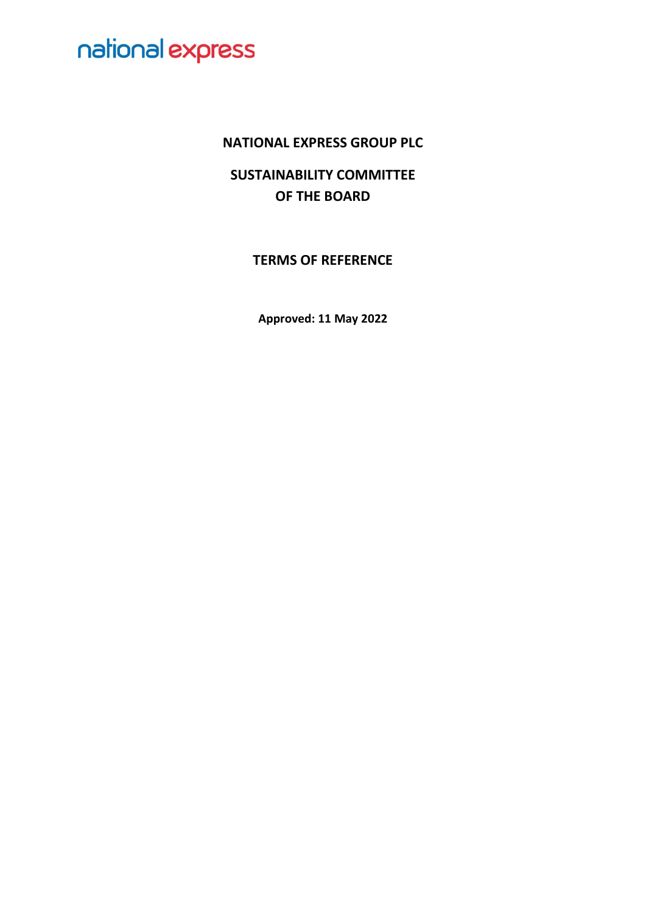### **NATIONAL EXPRESS GROUP PLC**

**SUSTAINABILITY COMMITTEE OF THE BOARD**

**TERMS OF REFERENCE**

**Approved: 11 May 2022**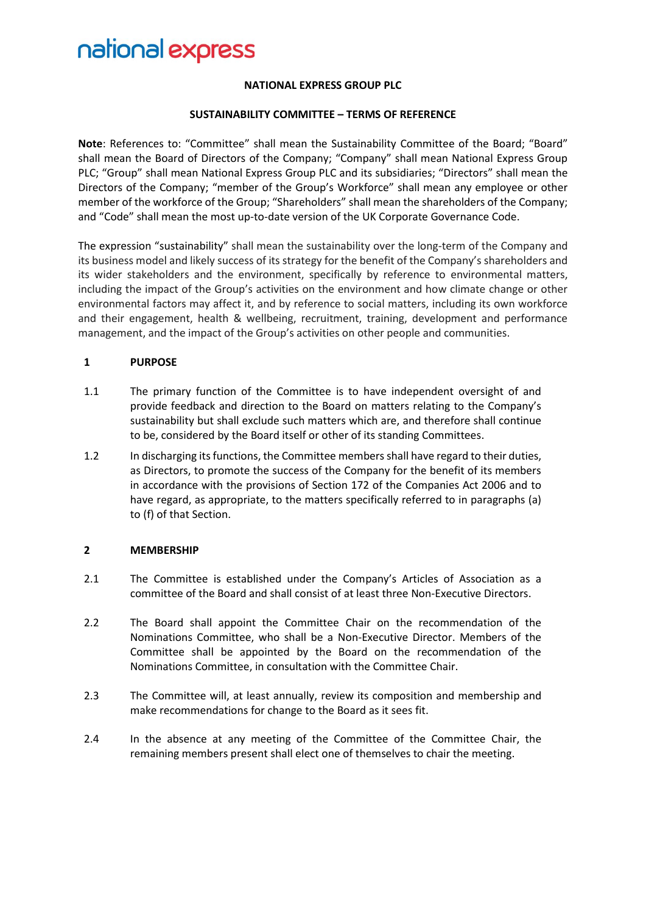#### **NATIONAL EXPRESS GROUP PLC**

#### **SUSTAINABILITY COMMITTEE – TERMS OF REFERENCE**

**Note**: References to: "Committee" shall mean the Sustainability Committee of the Board; "Board" shall mean the Board of Directors of the Company; "Company" shall mean National Express Group PLC; "Group" shall mean National Express Group PLC and its subsidiaries; "Directors" shall mean the Directors of the Company; "member of the Group's Workforce" shall mean any employee or other member of the workforce of the Group; "Shareholders" shall mean the shareholders of the Company; and "Code" shall mean the most up-to-date version of the UK Corporate Governance Code.

The expression "sustainability" shall mean the sustainability over the long-term of the Company and its business model and likely success of its strategy for the benefit of the Company's shareholders and its wider stakeholders and the environment, specifically by reference to environmental matters, including the impact of the Group's activities on the environment and how climate change or other environmental factors may affect it, and by reference to social matters, including its own workforce and their engagement, health & wellbeing, recruitment, training, development and performance management, and the impact of the Group's activities on other people and communities.

#### **1 PURPOSE**

- 1.1 The primary function of the Committee is to have independent oversight of and provide feedback and direction to the Board on matters relating to the Company's sustainability but shall exclude such matters which are, and therefore shall continue to be, considered by the Board itself or other of its standing Committees.
- 1.2 In discharging its functions, the Committee members shall have regard to their duties, as Directors, to promote the success of the Company for the benefit of its members in accordance with the provisions of Section 172 of the Companies Act 2006 and to have regard, as appropriate, to the matters specifically referred to in paragraphs (a) to (f) of that Section.

#### **2 MEMBERSHIP**

- 2.1 The Committee is established under the Company's Articles of Association as a committee of the Board and shall consist of at least three Non-Executive Directors.
- 2.2 The Board shall appoint the Committee Chair on the recommendation of the Nominations Committee, who shall be a Non-Executive Director. Members of the Committee shall be appointed by the Board on the recommendation of the Nominations Committee, in consultation with the Committee Chair.
- 2.3 The Committee will, at least annually, review its composition and membership and make recommendations for change to the Board as it sees fit.
- 2.4 In the absence at any meeting of the Committee of the Committee Chair, the remaining members present shall elect one of themselves to chair the meeting.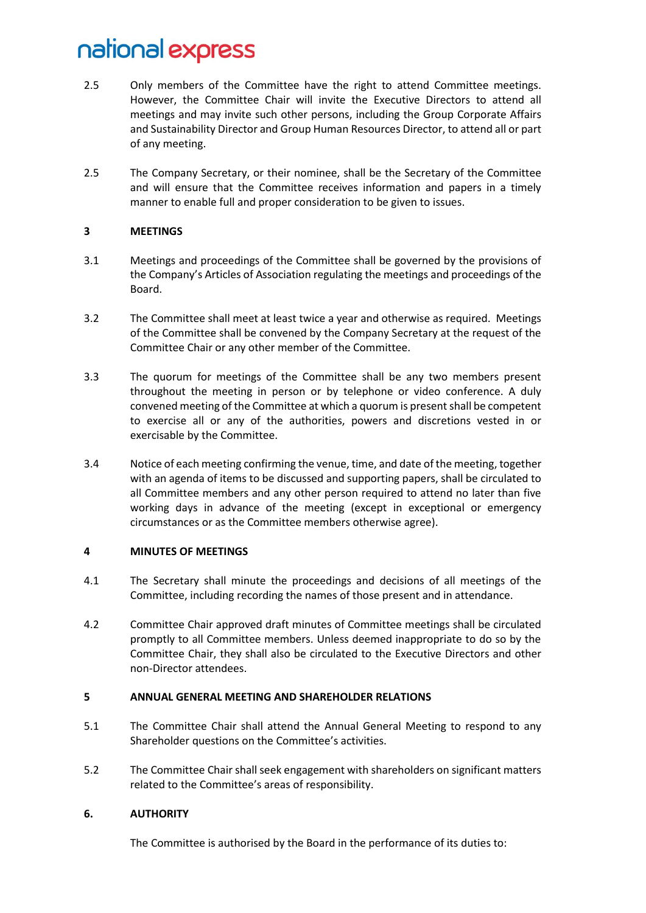- 2.5 Only members of the Committee have the right to attend Committee meetings. However, the Committee Chair will invite the Executive Directors to attend all meetings and may invite such other persons, including the Group Corporate Affairs and Sustainability Director and Group Human Resources Director, to attend all or part of any meeting.
- 2.5 The Company Secretary, or their nominee, shall be the Secretary of the Committee and will ensure that the Committee receives information and papers in a timely manner to enable full and proper consideration to be given to issues.

#### **3 MEETINGS**

- 3.1 Meetings and proceedings of the Committee shall be governed by the provisions of the Company's Articles of Association regulating the meetings and proceedings of the Board.
- 3.2 The Committee shall meet at least twice a year and otherwise as required. Meetings of the Committee shall be convened by the Company Secretary at the request of the Committee Chair or any other member of the Committee.
- 3.3 The quorum for meetings of the Committee shall be any two members present throughout the meeting in person or by telephone or video conference. A duly convened meeting of the Committee at which a quorum is present shall be competent to exercise all or any of the authorities, powers and discretions vested in or exercisable by the Committee.
- 3.4 Notice of each meeting confirming the venue, time, and date of the meeting, together with an agenda of items to be discussed and supporting papers, shall be circulated to all Committee members and any other person required to attend no later than five working days in advance of the meeting (except in exceptional or emergency circumstances or as the Committee members otherwise agree).

#### **4 MINUTES OF MEETINGS**

- 4.1 The Secretary shall minute the proceedings and decisions of all meetings of the Committee, including recording the names of those present and in attendance.
- 4.2 Committee Chair approved draft minutes of Committee meetings shall be circulated promptly to all Committee members. Unless deemed inappropriate to do so by the Committee Chair, they shall also be circulated to the Executive Directors and other non-Director attendees.

#### **5 ANNUAL GENERAL MEETING AND SHAREHOLDER RELATIONS**

- 5.1 The Committee Chair shall attend the Annual General Meeting to respond to any Shareholder questions on the Committee's activities.
- 5.2 The Committee Chair shall seek engagement with shareholders on significant matters related to the Committee's areas of responsibility.

#### **6. AUTHORITY**

The Committee is authorised by the Board in the performance of its duties to: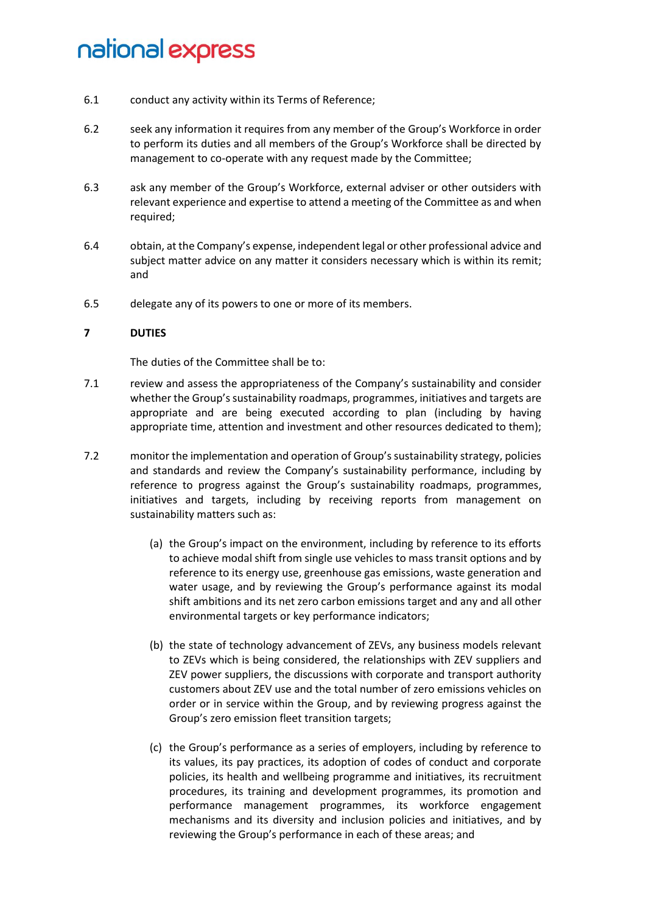- 6.1 conduct any activity within its Terms of Reference;
- 6.2 seek any information it requires from any member of the Group's Workforce in order to perform its duties and all members of the Group's Workforce shall be directed by management to co-operate with any request made by the Committee;
- 6.3 ask any member of the Group's Workforce, external adviser or other outsiders with relevant experience and expertise to attend a meeting of the Committee as and when required;
- 6.4 obtain, at the Company's expense, independent legal or other professional advice and subject matter advice on any matter it considers necessary which is within its remit; and
- 6.5 delegate any of its powers to one or more of its members.

#### **7 DUTIES**

The duties of the Committee shall be to:

- 7.1 review and assess the appropriateness of the Company's sustainability and consider whether the Group's sustainability roadmaps, programmes, initiatives and targets are appropriate and are being executed according to plan (including by having appropriate time, attention and investment and other resources dedicated to them);
- 7.2 monitor the implementation and operation of Group's sustainability strategy, policies and standards and review the Company's sustainability performance, including by reference to progress against the Group's sustainability roadmaps, programmes, initiatives and targets, including by receiving reports from management on sustainability matters such as:
	- (a) the Group's impact on the environment, including by reference to its efforts to achieve modal shift from single use vehicles to mass transit options and by reference to its energy use, greenhouse gas emissions, waste generation and water usage, and by reviewing the Group's performance against its modal shift ambitions and its net zero carbon emissions target and any and all other environmental targets or key performance indicators;
	- (b) the state of technology advancement of ZEVs, any business models relevant to ZEVs which is being considered, the relationships with ZEV suppliers and ZEV power suppliers, the discussions with corporate and transport authority customers about ZEV use and the total number of zero emissions vehicles on order or in service within the Group, and by reviewing progress against the Group's zero emission fleet transition targets;
	- (c) the Group's performance as a series of employers, including by reference to its values, its pay practices, its adoption of codes of conduct and corporate policies, its health and wellbeing programme and initiatives, its recruitment procedures, its training and development programmes, its promotion and performance management programmes, its workforce engagement mechanisms and its diversity and inclusion policies and initiatives, and by reviewing the Group's performance in each of these areas; and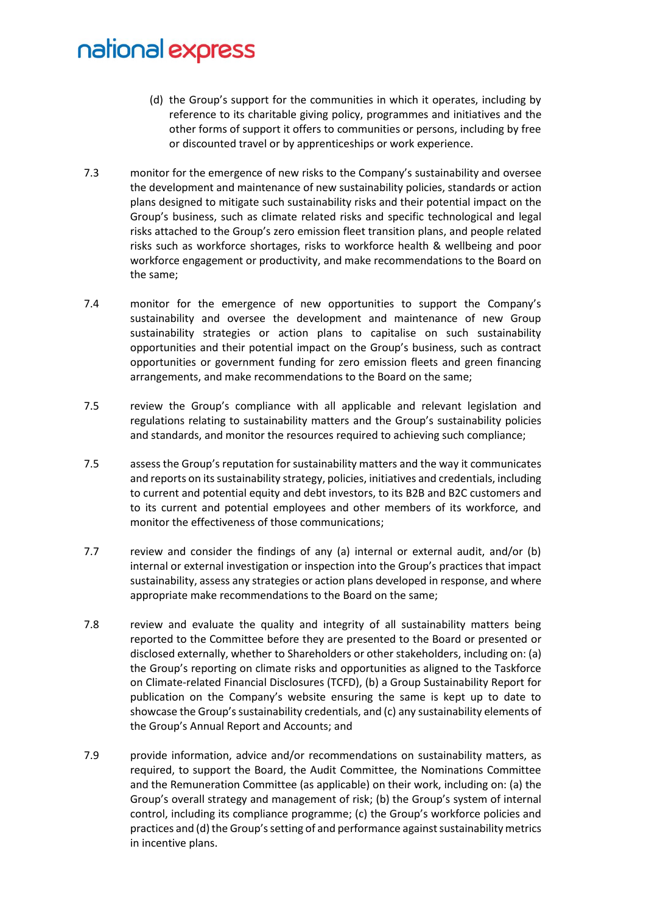- (d) the Group's support for the communities in which it operates, including by reference to its charitable giving policy, programmes and initiatives and the other forms of support it offers to communities or persons, including by free or discounted travel or by apprenticeships or work experience.
- 7.3 monitor for the emergence of new risks to the Company's sustainability and oversee the development and maintenance of new sustainability policies, standards or action plans designed to mitigate such sustainability risks and their potential impact on the Group's business, such as climate related risks and specific technological and legal risks attached to the Group's zero emission fleet transition plans, and people related risks such as workforce shortages, risks to workforce health & wellbeing and poor workforce engagement or productivity, and make recommendations to the Board on the same;
- 7.4 monitor for the emergence of new opportunities to support the Company's sustainability and oversee the development and maintenance of new Group sustainability strategies or action plans to capitalise on such sustainability opportunities and their potential impact on the Group's business, such as contract opportunities or government funding for zero emission fleets and green financing arrangements, and make recommendations to the Board on the same;
- 7.5 review the Group's compliance with all applicable and relevant legislation and regulations relating to sustainability matters and the Group's sustainability policies and standards, and monitor the resources required to achieving such compliance;
- 7.5 assess the Group's reputation for sustainability matters and the way it communicates and reports on its sustainability strategy, policies, initiatives and credentials, including to current and potential equity and debt investors, to its B2B and B2C customers and to its current and potential employees and other members of its workforce, and monitor the effectiveness of those communications;
- 7.7 review and consider the findings of any (a) internal or external audit, and/or (b) internal or external investigation or inspection into the Group's practices that impact sustainability, assess any strategies or action plans developed in response, and where appropriate make recommendations to the Board on the same;
- 7.8 review and evaluate the quality and integrity of all sustainability matters being reported to the Committee before they are presented to the Board or presented or disclosed externally, whether to Shareholders or other stakeholders, including on: (a) the Group's reporting on climate risks and opportunities as aligned to the Taskforce on Climate-related Financial Disclosures (TCFD), (b) a Group Sustainability Report for publication on the Company's website ensuring the same is kept up to date to showcase the Group's sustainability credentials, and (c) any sustainability elements of the Group's Annual Report and Accounts; and
- 7.9 provide information, advice and/or recommendations on sustainability matters, as required, to support the Board, the Audit Committee, the Nominations Committee and the Remuneration Committee (as applicable) on their work, including on: (a) the Group's overall strategy and management of risk; (b) the Group's system of internal control, including its compliance programme; (c) the Group's workforce policies and practices and (d) the Group's setting of and performance against sustainability metrics in incentive plans.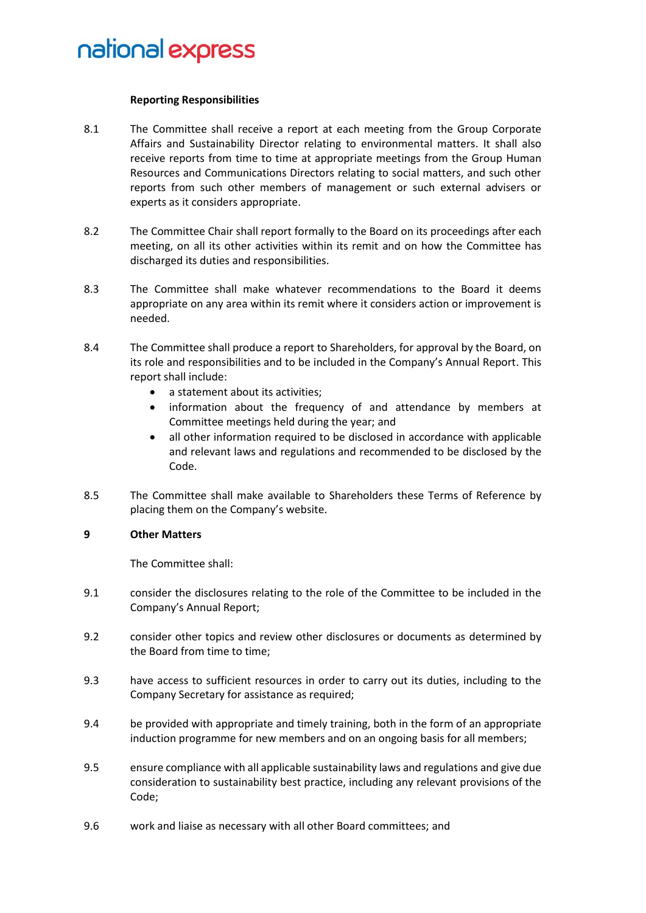#### **Reporting Responsibilities**

- 8.1 The Committee shall receive a report at each meeting from the Group Corporate Affairs and Sustainability Director relating to environmental matters. It shall also receive reports from time to time at appropriate meetings from the Group Human Resources and Communications Directors relating to social matters, and such other reports from such other members of management or such external advisers or experts as it considers appropriate.
- 8.2 The Committee Chair shall report formally to the Board on its proceedings after each meeting, on all its other activities within its remit and on how the Committee has discharged its duties and responsibilities.
- 8.3 The Committee shall make whatever recommendations to the Board it deems appropriate on any area within its remit where it considers action or improvement is needed.
- 8.4 The Committee shall produce a report to Shareholders, for approval by the Board, on its role and responsibilities and to be included in the Company's Annual Report. This report shall include:
	- a statement about its activities;
	- information about the frequency of and attendance by members at Committee meetings held during the year; and
	- all other information required to be disclosed in accordance with applicable and relevant laws and regulations and recommended to be disclosed by the Code.
- 8.5 The Committee shall make available to Shareholders these Terms of Reference by placing them on the Company's website.

#### **9 Other Matters**

The Committee shall:

- 9.1 consider the disclosures relating to the role of the Committee to be included in the Company's Annual Report;
- 9.2 consider other topics and review other disclosures or documents as determined by the Board from time to time;
- 9.3 have access to sufficient resources in order to carry out its duties, including to the Company Secretary for assistance as required;
- 9.4 be provided with appropriate and timely training, both in the form of an appropriate induction programme for new members and on an ongoing basis for all members;
- 9.5 ensure compliance with all applicable sustainability laws and regulations and give due consideration to sustainability best practice, including any relevant provisions of the Code;
- 9.6 work and liaise as necessary with all other Board committees; and